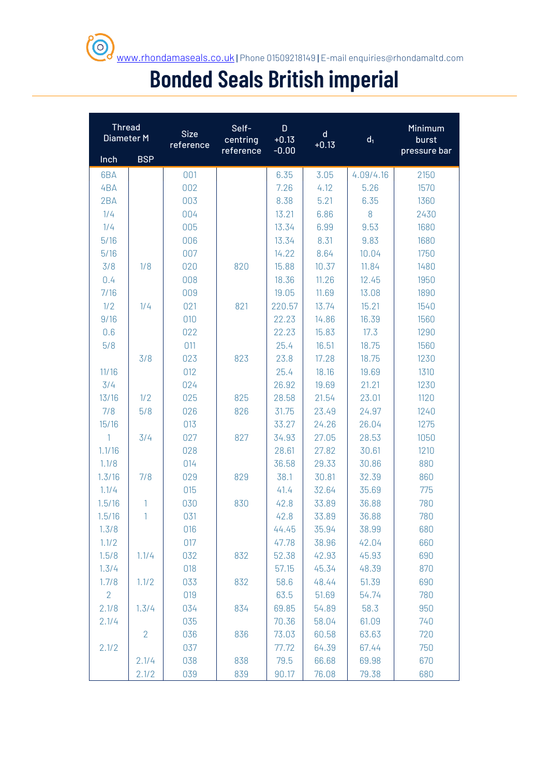# **Bonded Seals British imperial**

| <b>Thread</b><br>Diameter M |                | <b>Size</b><br>reference | Self-<br>centring<br>reference | D<br>$\mathsf{d}$<br>$+0.13$<br>$+0.13$<br>$-0.00$ |       | d <sub>1</sub> | Minimum<br>burst<br>pressure bar |  |
|-----------------------------|----------------|--------------------------|--------------------------------|----------------------------------------------------|-------|----------------|----------------------------------|--|
| Inch                        | <b>BSP</b>     |                          |                                |                                                    |       |                |                                  |  |
| 6BA                         |                | 001                      |                                | 6.35                                               | 3.05  | 4.09/4.16      | 2150                             |  |
| 4BA                         |                | 002                      |                                | 7.26                                               | 4.12  | 5.26           | 1570                             |  |
| 2BA                         |                | 003                      |                                | 8.38                                               | 5.21  | 6.35           | 1360                             |  |
| 1/4                         |                | 004                      |                                | 13.21                                              | 6.86  | 8              | 2430                             |  |
| 1/4                         |                | 005                      |                                | 13.34                                              | 6.99  | 9.53           | 1680                             |  |
| 5/16                        |                | 006                      |                                | 13.34                                              | 8.31  | 9.83           | 1680                             |  |
| 5/16                        |                | 007                      |                                | 14.22                                              | 8.64  | 10.04          | 1750                             |  |
| 3/8                         | 1/8            | 020                      | 820                            | 15.88                                              | 10.37 | 11.84          | 1480                             |  |
| 0.4                         |                | 008                      |                                | 18.36                                              | 11.26 | 12.45          | 1950                             |  |
| 7/16                        |                | 009                      |                                | 19.05                                              | 11.69 | 13.08          | 1890                             |  |
| 1/2                         | 1/4            | 021                      | 821                            | 220.57                                             | 13.74 | 15.21          | 1540                             |  |
| 9/16                        |                | 010                      |                                | 22.23                                              | 14.86 | 16.39          | 1560                             |  |
| 0.6                         |                | 022                      |                                | 22.23                                              | 15.83 | 17.3           | 1290                             |  |
| 5/8                         |                | 011                      |                                | 25.4                                               | 16.51 | 18.75          | 1560                             |  |
|                             | 3/8            | 023                      | 823                            | 23.8                                               | 17.28 | 18.75          | 1230                             |  |
| 11/16                       |                | 012                      |                                | 25.4                                               | 18.16 | 19.69          | 1310                             |  |
| 3/4                         |                | 024                      |                                | 26.92                                              | 19.69 | 21.21          | 1230                             |  |
| 13/16                       | 1/2            | 025                      | 825                            | 28.58                                              | 21.54 | 23.01          | 1120                             |  |
| 7/8                         | 5/8            | 026                      | 826                            | 31.75                                              | 23.49 | 24.97          | 1240                             |  |
| 15/16                       |                | 013                      |                                | 33.27                                              | 24.26 | 26.04          | 1275                             |  |
| $\mathbf{1}$                | 3/4            | 027                      | 827                            | 34.93                                              | 27.05 | 28.53          | 1050                             |  |
| 1.1/16                      |                | 028                      |                                | 28.61                                              | 27.82 | 30.61          | 1210                             |  |
| 1.1/8                       |                | 014                      |                                | 36.58                                              | 29.33 | 30.86          | 880                              |  |
| 1.3/16                      | 7/8            | 029                      | 829                            | 38.1                                               | 30.81 | 32.39          | 860                              |  |
| 1.1/4                       |                | 015                      |                                | 41.4                                               | 32.64 | 35.69          | 775                              |  |
| 1.5/16                      | 1              | 030                      | 830                            | 42.8                                               | 33.89 | 36.88          | 780                              |  |
| 1.5/16                      | 1              | 031                      |                                | 42.8                                               | 33.89 | 36.88          | 780                              |  |
| 1.3/8                       |                | 016                      |                                | 44.45                                              | 35.94 | 38.99          | 680                              |  |
| 1.1/2                       |                | 017                      |                                | 47.78                                              | 38.96 | 42.04          | 660                              |  |
| 1.5/8                       | 1.1/4          | 032                      | 832                            | 52.38                                              | 42.93 | 45.93          | 690                              |  |
| 1.3/4                       |                | 018                      |                                | 57.15                                              | 45.34 | 48.39          | 870                              |  |
| 1.7/8                       | 1.1/2          | 033                      | 832                            | 58.6                                               | 48.44 | 51.39          | 690                              |  |
| $\overline{2}$              |                | 019                      |                                | 63.5                                               | 51.69 | 54.74          | 780                              |  |
| 2.1/8                       | 1.3/4          | 034                      | 834                            | 69.85                                              | 54.89 | 58.3           | 950                              |  |
| 2.1/4                       |                | 035                      |                                | 70.36                                              | 58.04 | 61.09          | 740                              |  |
|                             | $\overline{2}$ | 036                      | 836                            | 73.03                                              | 60.58 | 63.63          | 720                              |  |
| 2.1/2                       |                | 037                      |                                | 77.72                                              | 64.39 | 67.44          | 750                              |  |
|                             | 2.1/4          | 038                      | 838                            | 79.5                                               | 66.68 | 69.98          | 670                              |  |
|                             | 2.1/2          | 039                      | 839                            | 90.17                                              | 76.08 | 79.38          | 680                              |  |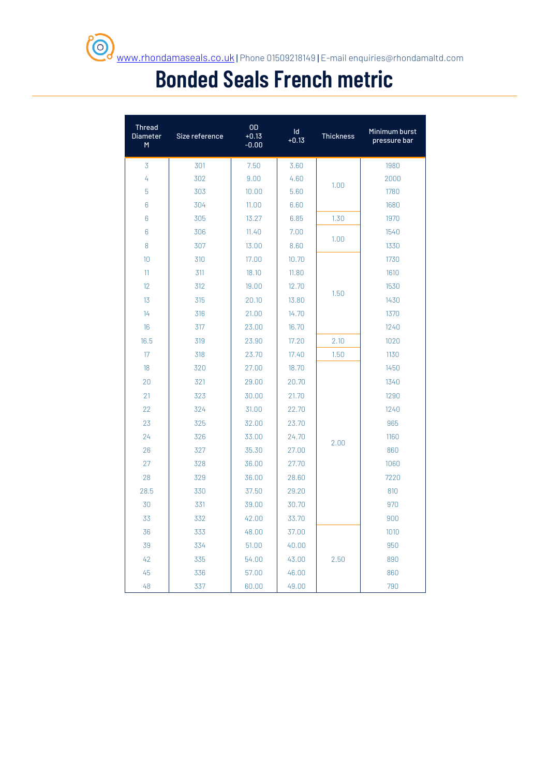## **Bonded Seals French metric**

| <b>Thread</b><br><b>Diameter</b><br>M | Size reference | OD<br>$+0.13$<br>$-0.00$ | Id<br>$+0.13$ | <b>Thickness</b> | Minimum burst<br>pressure bar |
|---------------------------------------|----------------|--------------------------|---------------|------------------|-------------------------------|
| 3                                     | 301            | 7.50                     | 3.60          |                  | 1980                          |
| 4                                     | 302            | 9.00                     | 4.60          |                  | 2000                          |
| 5                                     | 303            | 10.00                    | 5.60          | 1.00             | 1780                          |
| 6                                     | 304            | 11.00                    | 6.60          |                  | 1680                          |
| 6                                     | 305            | 13.27                    | 6.85          | 1.30             | 1970                          |
| 6                                     | 306            | 11.40                    | 7.00          | 1.00             | 1540                          |
| 8                                     | 307            | 13.00                    | 8.60          |                  | 1330                          |
| 10                                    | 310            | 17.00                    | 10.70         |                  | 1730                          |
| 11                                    | 311            | 18.10                    | 11.80         |                  | 1610                          |
| 12                                    | 312            | 19.00                    | 12.70         | 1.50             | 1530                          |
| 13                                    | 315            | 20.10                    | 13.80         |                  | 1430                          |
| 14                                    | 316            | 21.00                    | 14.70         |                  | 1370                          |
| 16                                    | 317            | 23.00                    | 16.70         |                  | 1240                          |
| 16.5                                  | 319            | 23.90                    | 17.20         | 2.10             | 1020                          |
| 17                                    | 318            | 23.70                    | 17.40         | 1.50             | 1130                          |
| 18                                    | 320            | 27.00                    | 18.70         |                  | 1450                          |
| 20                                    | 321            | 29.00                    | 20.70         |                  | 1340                          |
| 21                                    | 323            | 30.00                    | 21.70         |                  | 1290                          |
| 22                                    | 324            | 31.00                    | 22.70         |                  | 1240                          |
| 23                                    | 325            | 32.00                    | 23.70         |                  | 965                           |
| 24                                    | 326            | 33.00                    | 24.70         | 2.00             | 1160                          |
| 26                                    | 327            | 35.30                    | 27.00         |                  | 860                           |
| 27                                    | 328            | 36.00                    | 27.70         |                  | 1060                          |
| 28                                    | 329            | 36.00                    | 28.60         |                  | 7220                          |
| 28.5                                  | 330            | 37.50                    | 29.20         |                  | 810                           |
| 30                                    | 331            | 39.00                    | 30.70         |                  | 970                           |
| 33                                    | 332            | 42.00                    | 33.70         |                  | 900                           |
| 36                                    | 333            | 48.00                    | 37.00         |                  | 1010                          |
| 39                                    | 334            | 51.00                    | 40.00         |                  | 950                           |
| 42                                    | 335            | 54.00                    | 43.00         | 2.50             | 890                           |
| 45                                    | 336            | 57.00                    | 46.00         |                  | 860                           |
| 48                                    | 337            | 60.00                    | 49.00         |                  | 790                           |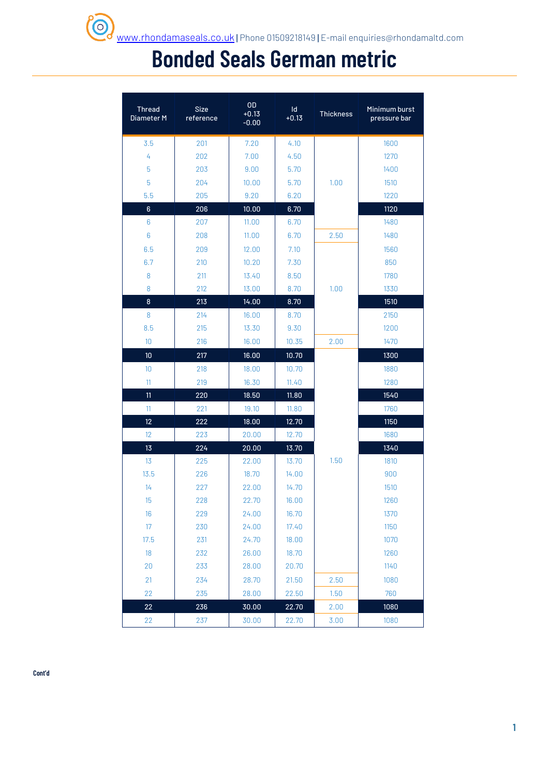### **Bonded Seals German metric**

| <b>Thread</b><br>Diameter M | <b>Size</b><br>reference | <b>OD</b><br>$+0.13$<br>$-0.00$ | $\mathsf{Id}$<br>$+0.13$ | <b>Thickness</b> | Minimum burst<br>pressure bar |
|-----------------------------|--------------------------|---------------------------------|--------------------------|------------------|-------------------------------|
| 3.5                         | 201                      | 7.20                            | 4.10                     |                  | 1600                          |
| 4                           | 202                      | 7.00                            | 4.50                     |                  | 1270                          |
| 5                           | 203                      | 9.00                            | 5.70                     |                  | 1400                          |
| 5                           | 204                      | 10.00                           | 5.70                     | 1.00             | 1510                          |
| 5.5                         | 205                      | 9.20                            | 6.20                     |                  | 1220                          |
| $\boldsymbol{6}$            | 206                      | 10.00                           | 6.70                     |                  | 1120                          |
| $6\phantom{1}6$             | 207                      | 11.00                           | 6.70                     |                  | 1480                          |
| $6\phantom{1}6$             | 208                      | 11.00                           | 6.70                     | 2.50             | 1480                          |
| 6.5                         | 209                      | 12.00                           | 7.10                     |                  | 1560                          |
| 6.7                         | 210                      | 10.20                           | 7.30                     |                  | 850                           |
| 8                           | 211                      | 13.40                           | 8.50                     |                  | 1780                          |
| 8                           | 212                      | 13.00                           | 8.70                     | 1.00             | 1330                          |
| 8                           | 213                      | 14.00                           | 8.70                     |                  | 1510                          |
| 8                           | 214                      | 16.00                           | 8.70                     |                  | 2150                          |
| 8.5                         | 215                      | 13.30                           | 9.30                     |                  | 1200                          |
| 10                          | 216                      | 16.00                           | 10.35                    | 2.00             | 1470                          |
| 10                          | 217                      | 16.00                           | 10.70                    |                  | 1300                          |
| 10                          | 218                      | 18.00                           | 10.70                    |                  | 1880                          |
| 11                          | 219                      | 16.30                           | 11.40                    |                  | 1280                          |
| 11                          | 220                      | 18.50                           | 11.80                    |                  | 1540                          |
| 11                          | 221                      | 19.10                           | 11.80                    |                  | 1760                          |
| 12                          | 222                      | 18.00                           | 12.70                    |                  | 1150                          |
| 12                          | 223                      | 20.00                           | 12.70                    |                  | 1680                          |
| 13                          | 224                      | 20.00                           | 13.70                    |                  | 1340                          |
| 13                          | 225                      | 22.00                           | 13.70                    | 1.50             | 1810                          |
| 13.5                        | 226                      | 18.70                           | 14.00                    |                  | 900                           |
| 14                          | 227                      | 22.00                           | 14.70                    |                  | 1510                          |
| 15                          | 228                      | 22.70                           | 16.00                    |                  | 1260                          |
| 16                          | 229                      | 24.00                           | 16.70                    |                  | 1370                          |
| 17                          | 230                      | 24.00                           | 17.40                    |                  | 1150                          |
| 17.5                        | 231                      | 24.70                           | 18.00                    |                  | 1070                          |
| 18                          | 232                      | 26.00                           | 18.70                    |                  | 1260                          |
| 20                          | 233                      | 28.00                           | 20.70                    |                  | 1140                          |
| 21                          | 234                      | 28.70                           | 21.50                    | 2.50             | 1080                          |
| 22                          | 235                      | 28.00                           | 22.50                    | 1.50             | 760                           |
| 22                          | 236                      | 30.00                           | 22.70                    | 2.00             | 1080                          |
| 22                          | 237                      | 30.00                           | 22.70                    | 3.00             | 1080                          |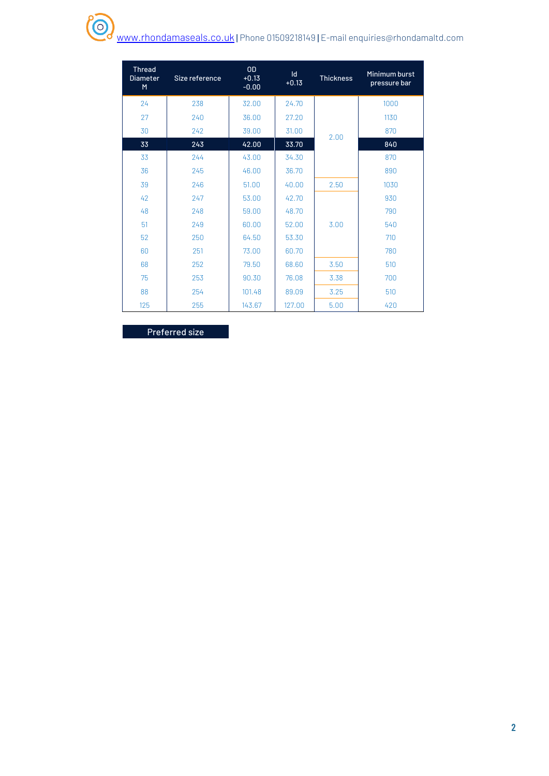#### O. [www.rhondamaseals.co.uk](http://www.rhondamaseals.co.uk/) | Phone 01509218149 | E-mail enquiries@rhondamaltd.com

| <b>Thread</b><br><b>Diameter</b><br>M | Size reference | <b>OD</b><br>$+0.13$<br>$-0.00$ | $\mathsf{Id}$<br>$+0.13$ | <b>Thickness</b> | Minimum burst<br>pressure bar |  |
|---------------------------------------|----------------|---------------------------------|--------------------------|------------------|-------------------------------|--|
| 24                                    | 238            | 32.00                           | 24.70                    |                  | 1000                          |  |
| 27                                    | 240            | 36.00                           | 27.20                    |                  | 1130                          |  |
| 30                                    | 242            | 39.00                           | 31.00                    | 2.00             | 870                           |  |
| 33                                    | 243            | 42.00                           | 33.70                    |                  | 840                           |  |
| 33                                    | 244            | 43.00                           | 34.30                    |                  | 870                           |  |
| 36                                    | 245            | 46.00                           | 36.70                    |                  | 890                           |  |
| 39                                    | 246            | 51.00                           | 40.00                    | 2.50             | 1030                          |  |
| 42                                    | 247            | 53.00                           | 42.70                    |                  | 930                           |  |
| 48                                    | 248            | 59.00                           | 48.70                    |                  | 790                           |  |
| 51                                    | 249            | 60.00                           | 52.00                    | 3.00             | 540                           |  |
| 52                                    | 250            | 64.50                           | 53.30                    |                  | 710                           |  |
| 60                                    | 251            | 73.00                           | 60.70                    |                  | 780                           |  |
| 68                                    | 252            | 79.50                           | 68.60                    | 3.50             | 510                           |  |
| 75                                    | 253            | 90.30                           | 76.08                    | 3.38             | 700                           |  |
| 88                                    | 254            | 101.48                          | 89.09                    | 3.25             | 510                           |  |
| 125                                   | 255            | 143.67                          | 127.00                   | 5.00             | 420                           |  |

Preferred size